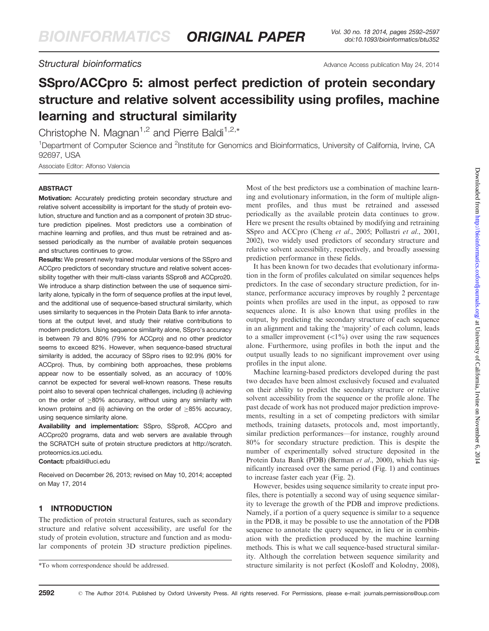## Structural bioinformatics and the Advance Access publication May 24, 2014

# SSpro/ACCpro 5: almost perfect prediction of protein secondary structure and relative solvent accessibility using profiles, machine learning and structural similarity

Christophe N. Magnan<sup>1,2</sup> and Pierre Baldi<sup>1,2,\*</sup>

<sup>1</sup>Department of Computer Science and <sup>2</sup>Institute for Genomics and Bioinformatics, University of California, Irvine, CA 92697, USA

Associate Editor: Alfonso Valencia

#### **ABSTRACT**

Motivation: Accurately predicting protein secondary structure and relative solvent accessibility is important for the study of protein evolution, structure and function and as a component of protein 3D structure prediction pipelines. Most predictors use a combination of machine learning and profiles, and thus must be retrained and assessed periodically as the number of available protein sequences and structures continues to grow.

Results: We present newly trained modular versions of the SSpro and ACCpro predictors of secondary structure and relative solvent accessibility together with their multi-class variants SSpro8 and ACCpro20. We introduce a sharp distinction between the use of sequence similarity alone, typically in the form of sequence profiles at the input level, and the additional use of sequence-based structural similarity, which uses similarity to sequences in the Protein Data Bank to infer annotations at the output level, and study their relative contributions to modern predictors. Using sequence similarity alone, SSpro's accuracy is between 79 and 80% (79% for ACCpro) and no other predictor seems to exceed 82%. However, when sequence-based structural similarity is added, the accuracy of SSpro rises to 92.9% (90% for ACCpro). Thus, by combining both approaches, these problems appear now to be essentially solved, as an accuracy of 100% cannot be expected for several well-known reasons. These results point also to several open technical challenges, including (i) achieving on the order of  $\geq$ 80% accuracy, without using any similarity with known proteins and (ii) achieving on the order of  $\geq$ 85% accuracy, using sequence similarity alone.

Availability and implementation: SSpro, SSpro8, ACCpro and ACCpro20 programs, data and web servers are available through the SCRATCH suite of protein structure predictors at [http://scratch.](http://scratch.proteomics.ics.uci.edu) [proteomics.ics.uci.edu.](http://scratch.proteomics.ics.uci.edu)

Contact: [pfbaldi@uci.edu](mailto:pfbaldi@uci.edu)

Received on December 26, 2013; revised on May 10, 2014; accepted on May 17, 2014

## 1 INTRODUCTION

The prediction of protein structural features, such as secondary structure and relative solvent accessibility, are useful for the study of protein evolution, structure and function and as modular components of protein 3D structure prediction pipelines.

Most of the best predictors use a combination of machine learning and evolutionary information, in the form of multiple alignment profiles, and thus must be retrained and assessed periodically as the available protein data continues to grow. Here we present the results obtained by modifying and retraining SSpro and ACCpro [\(Cheng](#page-5-0) et al., 2005; [Pollastri](#page-5-0) et al., 2001, [2002\)](#page-5-0), two widely used predictors of secondary structure and relative solvent accessibility, respectively, and broadly assessing prediction performance in these fields.

It has been known for two decades that evolutionary information in the form of profiles calculated on similar sequences helps predictors. In the case of secondary structure prediction, for instance, performance accuracy improves by roughly 2 percentage points when profiles are used in the input, as opposed to raw sequences alone. It is also known that using profiles in the output, by predicting the secondary structure of each sequence in an alignment and taking the 'majority' of each column, leads to a smaller improvement  $\left($  < 1%) over using the raw sequences alone. Furthermore, using profiles in both the input and the output usually leads to no significant improvement over using profiles in the input alone.

Machine learning-based predictors developed during the past two decades have been almost exclusively focused and evaluated on their ability to predict the secondary structure or relative solvent accessibility from the sequence or the profile alone. The past decade of work has not produced major prediction improvements, resulting in a set of competing predictors with similar methods, training datasets, protocols and, most importantly, similar prediction performances—for instance, roughly around 80% for secondary structure prediction. This is despite the number of experimentally solved structure deposited in the Protein Data Bank (PDB) [\(Berman](#page-5-0) et al., 2000), which has significantly increased over the same period ([Fig. 1\)](#page-1-0) and continues to increase faster each year [\(Fig. 2\)](#page-1-0).

However, besides using sequence similarity to create input profiles, there is potentially a second way of using sequence similarity to leverage the growth of the PDB and improve predictions. Namely, if a portion of a query sequence is similar to a sequence in the PDB, it may be possible to use the annotation of the PDB sequence to annotate the query sequence, in lieu or in combination with the prediction produced by the machine learning methods. This is what we call sequence-based structural similarity. Although the correlation between sequence similarity and \*To whom correspondence should be addressed. structure similarity is not perfect ([Kosloff and Kolodny, 2008](#page-5-0)),

2592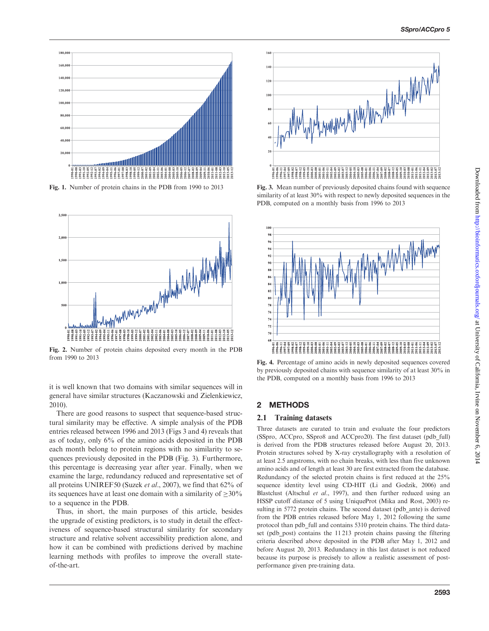<span id="page-1-0"></span>

Fig. 1. Number of protein chains in the PDB from 1990 to 2013



Fig. 2. Number of protein chains deposited every month in the PDB from 1990 to 2013

it is well known that two domains with similar sequences will in general have similar structures [\(Kaczanowski and Zielenkiewicz,](#page-5-0) [2010](#page-5-0)).

There are good reasons to suspect that sequence-based structural similarity may be effective. A simple analysis of the PDB entries released between 1996 and 2013 (Figs 3 and 4) reveals that as of today, only 6% of the amino acids deposited in the PDB each month belong to protein regions with no similarity to sequences previously deposited in the PDB (Fig. 3). Furthermore, this percentage is decreasing year after year. Finally, when we examine the large, redundancy reduced and representative set of all proteins UNIREF50 [\(Suzek](#page-5-0) et al., 2007), we find that 62% of its sequences have at least one domain with a similarity of  $\geq 30\%$ to a sequence in the PDB.

Thus, in short, the main purposes of this article, besides the upgrade of existing predictors, is to study in detail the effectiveness of sequence-based structural similarity for secondary structure and relative solvent accessibility prediction alone, and how it can be combined with predictions derived by machine learning methods with profiles to improve the overall stateof-the-art.



Fig. 3. Mean number of previously deposited chains found with sequence similarity of at least 30% with respect to newly deposited sequences in the PDB, computed on a monthly basis from 1996 to 2013



Fig. 4. Percentage of amino acids in newly deposited sequences covered by previously deposited chains with sequence similarity of at least 30% in the PDB, computed on a monthly basis from 1996 to 2013

#### 2 METHODS

#### 2.1 Training datasets

Three datasets are curated to train and evaluate the four predictors (SSpro, ACCpro, SSpro8 and ACCpro20). The first dataset (pdb\_full) is derived from the PDB structures released before August 20, 2013. Protein structures solved by X-ray crystallography with a resolution of at least 2.5 angstroms, with no chain breaks, with less than five unknown amino acids and of length at least 30 are first extracted from the database. Redundancy of the selected protein chains is first reduced at the 25% sequence identity level using CD-HIT [\(Li and Godzik, 2006\)](#page-5-0) and Blastclust [\(Altschul](#page-5-0) et al., 1997), and then further reduced using an HSSP cutoff distance of 5 using UniqueProt [\(Mika and Rost, 2003\)](#page-5-0) resulting in 5772 protein chains. The second dataset (pdb ante) is derived from the PDB entries released before May 1, 2012 following the same protocol than pdb\_full and contains 5310 protein chains. The third dataset (pdb post) contains the 11 213 protein chains passing the filtering criteria described above deposited in the PDB after May 1, 2012 and before August 20, 2013. Redundancy in this last dataset is not reduced because its purpose is precisely to allow a realistic assessment of postperformance given pre-training data.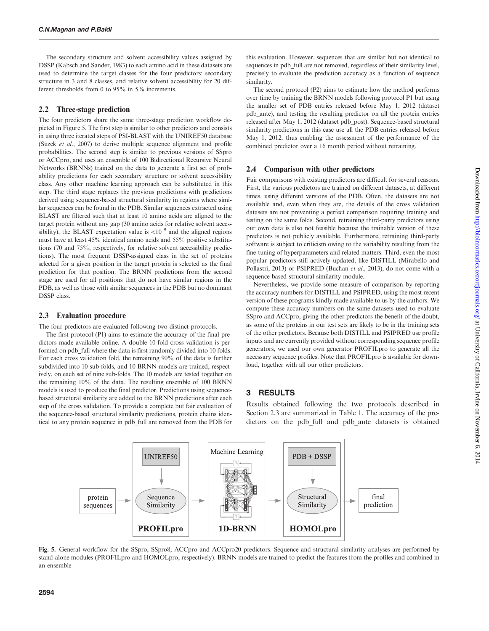The secondary structure and solvent accessibility values assigned by DSSP ([Kabsch and Sander, 1983\)](#page-5-0) to each amino acid in these datasets are used to determine the target classes for the four predictors: secondary structure in 3 and 8 classes, and relative solvent accessibility for 20 different thresholds from 0 to 95% in 5% increments.

#### 2.2 Three-stage prediction

The four predictors share the same three-stage prediction workflow depicted in Figure 5. The first step is similar to other predictors and consists in using three iterated steps of PSI-BLAST with the UNIREF50 database (Suzek et al.[, 2007\)](#page-5-0) to derive multiple sequence alignment and profile probabilities. The second step is similar to previous versions of SSpro or ACCpro, and uses an ensemble of 100 Bidirectional Recursive Neural Networks (BRNNs) trained on the data to generate a first set of probability predictions for each secondary structure or solvent accessibility class. Any other machine learning approach can be substituted in this step. The third stage replaces the previous predictions with predictions derived using sequence-based structural similarity in regions where similar sequences can be found in the PDB. Similar sequences extracted using BLAST are filtered such that at least 10 amino acids are aligned to the target protein without any gap (30 amino acids for relative solvent accessibility), the BLAST expectation value is  $< 10^{-9}$  and the aligned regions must have at least 45% identical amino acids and 55% positive substitutions (70 and 75%, respectively, for relative solvent accessibility predictions). The most frequent DSSP-assigned class in the set of proteins selected for a given position in the target protein is selected as the final prediction for that position. The BRNN predictions from the second stage are used for all positions that do not have similar regions in the PDB, as well as those with similar sequences in the PDB but no dominant DSSP class.

#### 2.3 Evaluation procedure

The four predictors are evaluated following two distinct protocols.

The first protocol (P1) aims to estimate the accuracy of the final predictors made available online. A double 10-fold cross validation is performed on pdb full where the data is first randomly divided into 10 folds. For each cross validation fold, the remaining 90% of the data is further subdivided into 10 sub-folds, and 10 BRNN models are trained, respectively, on each set of nine sub-folds. The 10 models are tested together on the remaining 10% of the data. The resulting ensemble of 100 BRNN models is used to produce the final predictor. Predictions using sequencebased structural similarity are added to the BRNN predictions after each step of the cross validation. To provide a complete but fair evaluation of the sequence-based structural similarity predictions, protein chains identical to any protein sequence in pdb\_full are removed from the PDB for

this evaluation. However, sequences that are similar but not identical to sequences in pdb full are not removed, regardless of their similarity level, precisely to evaluate the prediction accuracy as a function of sequence similarity.

The second protocol (P2) aims to estimate how the method performs over time by training the BRNN models following protocol P1 but using the smaller set of PDB entries released before May 1, 2012 (dataset pdb\_ante), and testing the resulting predictor on all the protein entries released after May 1, 2012 (dataset pdb\_post). Sequence-based structural similarity predictions in this case use all the PDB entries released before May 1, 2012, thus enabling the assessment of the performance of the combined predictor over a 16 month period without retraining.

#### 2.4 Comparison with other predictors

Fair comparisons with existing predictors are difficult for several reasons. First, the various predictors are trained on different datasets, at different times, using different versions of the PDB. Often, the datasets are not available and, even when they are, the details of the cross validation datasets are not preventing a perfect comparison requiring training and testing on the same folds. Second, retraining third-party predictors using our own data is also not feasible because the trainable version of these predictors is not publicly available. Furthermore, retraining third-party software is subject to criticism owing to the variability resulting from the fine-tuning of hyperparameters and related matters. Third, even the most popular predictors still actively updated, like DISTILL [\(Mirabello and](#page-5-0) [Pollastri, 2013](#page-5-0)) or PSIPRED [\(Buchan](#page-5-0) et al., 2013), do not come with a sequence-based structural similarity module.

Nevertheless, we provide some measure of comparison by reporting the accuracy numbers for DISTILL and PSIPRED, using the most recent version of these programs kindly made available to us by the authors. We compute these accuracy numbers on the same datasets used to evaluate SSpro and ACCpro, giving the other predictors the benefit of the doubt, as some of the proteins in our test sets are likely to be in the training sets of the other predictors. Because both DISTILL and PSIPRED use profile inputs and are currently provided without corresponding sequence profile generators, we used our own generator PROFILpro to generate all the necessary sequence profiles. Note that PROFILpro is available for download, together with all our other predictors.

## 3 RESULTS

Results obtained following the two protocols described in Section 2.3 are summarized in [Table 1.](#page-3-0) The accuracy of the predictors on the pdb\_full and pdb\_ante datasets is obtained



Fig. 5. General workflow for the SSpro, SSpro8, ACCpro and ACCpro20 predictors. Sequence and structural similarity analyses are performed by stand-alone modules (PROFILpro and HOMOLpro, respectively). BRNN models are trained to predict the features from the profiles and combined in an ensemble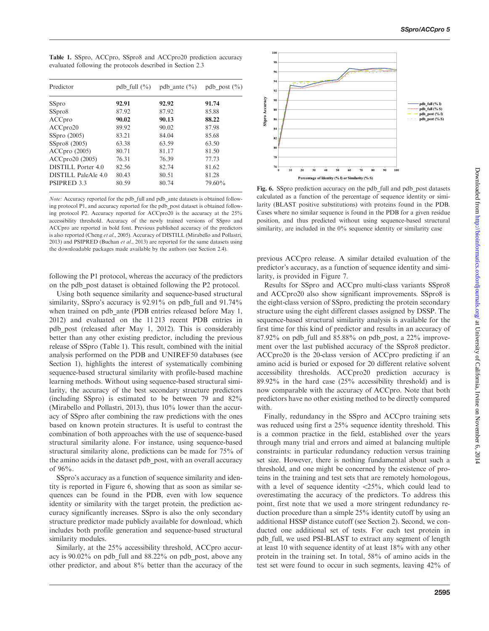<span id="page-3-0"></span>Table 1. SSpro, ACCpro, SSpro8 and ACCpro20 prediction accuracy evaluated following the protocols described in Section 2.3

| Predictor           | pdb full $(\% )$ | pdb ante $(\% )$ | pdb post $(\% )$ |
|---------------------|------------------|------------------|------------------|
| SSpro               | 92.91            | 92.92            | 91.74            |
| SSpro8              | 87.92            | 87.92            | 85.88            |
| ACCpro              | 90.02            | 90.13            | 88.22            |
| ACC pro20           | 89.92            | 90.02            | 87.98            |
| SSpro(2005)         | 83.21            | 84.04            | 85.68            |
| SSpro8 (2005)       | 63.38            | 63.59            | 63.50            |
| $ACC$ pro $(2005)$  | 80.71            | 81.17            | 81.50            |
| ACCpro20 (2005)     | 76.31            | 76.39            | 77.73            |
| DISTILL Porter 4.0  | 82.56            | 82.74            | 81.62            |
| DISTILL PaleAle 4.0 | 80.43            | 80.51            | 81.28            |
| PSIPRED 3.3         | 80.59            | 80.74            | 79.60%           |

Note: Accuracy reported for the pdb\_full and pdb\_ante datasets is obtained following protocol P1, and accuracy reported for the pdb\_post dataset is obtained following protocol P2. Accuracy reported for ACCpro20 is the accuracy at the 25% accessibility threshold. Accuracy of the newly trained versions of SSpro and ACCpro are reported in bold font. Previous published accuracy of the predictors is also reported [\(Cheng](#page-5-0) et al., 2005). Accuracy of DISTILL [\(Mirabello and Pollastri,](#page-5-0) [2013](#page-5-0)) and PSIPRED [\(Buchan](#page-5-0) et al., 2013) are reported for the same datasets using the downloadable packages made available by the authors (see Section 2.4).

following the P1 protocol, whereas the accuracy of the predictors on the pdb\_post dataset is obtained following the P2 protocol.

Using both sequence similarity and sequence-based structural similarity, SSpro's accuracy is 92.91% on pdb full and 91.74% when trained on pdb ante (PDB entries released before May 1, 2012) and evaluated on the 11 213 recent PDB entries in pdb\_post (released after May 1, 2012). This is considerably better than any other existing predictor, including the previous release of SSpro (Table 1). This result, combined with the initial analysis performed on the PDB and UNIREF50 databases (see Section 1), highlights the interest of systematically combining sequence-based structural similarity with profile-based machine learning methods. Without using sequence-based structural similarity, the accuracy of the best secondary structure predictors (including SSpro) is estimated to be between 79 and 82% ([Mirabello and Pollastri, 2013](#page-5-0)), thus 10% lower than the accuracy of SSpro after combining the raw predictions with the ones based on known protein structures. It is useful to contrast the combination of both approaches with the use of sequence-based structural similarity alone. For instance, using sequence-based structural similarity alone, predictions can be made for 75% of the amino acids in the dataset pdb\_post, with an overall accuracy of 96%.

SSpro's accuracy as a function of sequence similarity and identity is reported in Figure 6, showing that as soon as similar sequences can be found in the PDB, even with low sequence identity or similarity with the target protein, the prediction accuracy significantly increases. SSpro is also the only secondary structure predictor made publicly available for download, which includes both profile generation and sequence-based structural similarity modules.

Similarly, at the 25% accessibility threshold, ACCpro accuracy is 90.02% on pdb\_full and 88.22% on pdb\_post, above any other predictor, and about 8% better than the accuracy of the



Fig. 6. SSpro prediction accuracy on the pdb full and pdb post datasets calculated as a function of the percentage of sequence identity or similarity (BLAST positive substitutions) with proteins found in the PDB. Cases where no similar sequence is found in the PDB for a given residue position, and thus predicted without using sequence-based structural similarity, are included in the 0% sequence identity or similarity case

previous ACCpro release. A similar detailed evaluation of the predictor's accuracy, as a function of sequence identity and similarity, is provided in [Figure 7.](#page-4-0)

Results for SSpro and ACCpro multi-class variants SSpro8 and ACCpro20 also show significant improvements. SSpro8 is the eight-class version of SSpro, predicting the protein secondary structure using the eight different classes assigned by DSSP. The sequence-based structural similarity analysis is available for the first time for this kind of predictor and results in an accuracy of  $87.92\%$  on pdb full and  $85.88\%$  on pdb post, a 22% improvement over the last published accuracy of the SSpro8 predictor. ACCpro20 is the 20-class version of ACCpro predicting if an amino acid is buried or exposed for 20 different relative solvent accessibility thresholds. ACCpro20 prediction accuracy is 89.92% in the hard case (25% accessibility threshold) and is now comparable with the accuracy of ACCpro. Note that both predictors have no other existing method to be directly compared with.

Finally, redundancy in the SSpro and ACCpro training sets was reduced using first a 25% sequence identity threshold. This is a common practice in the field, established over the years through many trial and errors and aimed at balancing multiple constraints: in particular redundancy reduction versus training set size. However, there is nothing fundamental about such a threshold, and one might be concerned by the existence of proteins in the training and test sets that are remotely homologous, with a level of sequence identity  $<$ 25%, which could lead to overestimating the accuracy of the predictors. To address this point, first note that we used a more stringent redundancy reduction procedure than a simple 25% identity cutoff by using an additional HSSP distance cutoff (see Section 2). Second, we conducted one additional set of tests. For each test protein in pdb\_full, we used PSI-BLAST to extract any segment of length at least 10 with sequence identity of at least 18% with any other protein in the training set. In total, 58% of amino acids in the test set were found to occur in such segments, leaving 42% of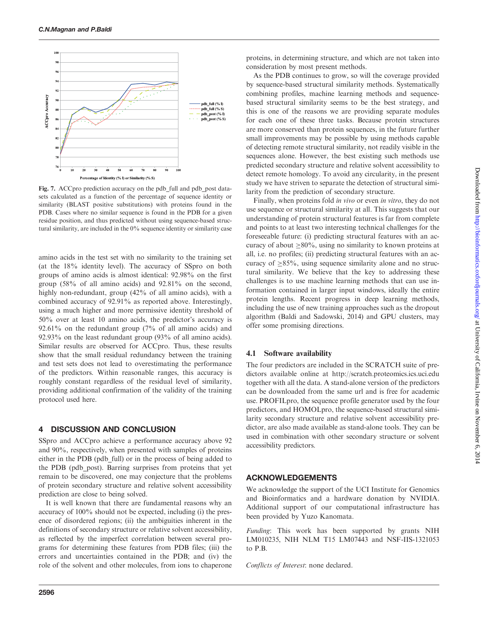<span id="page-4-0"></span>

Fig. 7. ACCpro prediction accuracy on the pdb full and pdb post datasets calculated as a function of the percentage of sequence identity or similarity (BLAST positive substitutions) with proteins found in the PDB. Cases where no similar sequence is found in the PDB for a given residue position, and thus predicted without using sequence-based structural similarity, are included in the 0% sequence identity or similarity case

amino acids in the test set with no similarity to the training set (at the 18% identity level). The accuracy of SSpro on both groups of amino acids is almost identical: 92.98% on the first group (58% of all amino acids) and 92.81% on the second, highly non-redundant, group (42% of all amino acids), with a combined accuracy of 92.91% as reported above. Interestingly, using a much higher and more permissive identity threshold of 50% over at least 10 amino acids, the predictor's accuracy is 92.61% on the redundant group (7% of all amino acids) and 92.93% on the least redundant group (93% of all amino acids). Similar results are observed for ACCpro. Thus, these results show that the small residual redundancy between the training and test sets does not lead to overestimating the performance of the predictors. Within reasonable ranges, this accuracy is roughly constant regardless of the residual level of similarity, providing additional confirmation of the validity of the training protocol used here.

### 4 DISCUSSION AND CONCLUSION

SSpro and ACCpro achieve a performance accuracy above 92 and 90%, respectively, when presented with samples of proteins either in the PDB (pdb\_full) or in the process of being added to the PDB (pdb\_post). Barring surprises from proteins that yet remain to be discovered, one may conjecture that the problems of protein secondary structure and relative solvent accessibility prediction are close to being solved.

It is well known that there are fundamental reasons why an accuracy of 100% should not be expected, including (i) the presence of disordered regions; (ii) the ambiguities inherent in the definitions of secondary structure or relative solvent accessibility, as reflected by the imperfect correlation between several programs for determining these features from PDB files; (iii) the errors and uncertainties contained in the PDB; and (iv) the role of the solvent and other molecules, from ions to chaperone

proteins, in determining structure, and which are not taken into consideration by most present methods.

As the PDB continues to grow, so will the coverage provided by sequence-based structural similarity methods. Systematically combining profiles, machine learning methods and sequencebased structural similarity seems to be the best strategy, and this is one of the reasons we are providing separate modules for each one of these three tasks. Because protein structures are more conserved than protein sequences, in the future further small improvements may be possible by using methods capable of detecting remote structural similarity, not readily visible in the sequences alone. However, the best existing such methods use predicted secondary structure and relative solvent accessibility to detect remote homology. To avoid any circularity, in the present study we have striven to separate the detection of structural similarity from the prediction of secondary structure.

Finally, when proteins fold in vivo or even in vitro, they do not use sequence or structural similarity at all. This suggests that our understanding of protein structural features is far from complete and points to at least two interesting technical challenges for the foreseeable future: (i) predicting structural features with an accuracy of about  $\geq 80\%$ , using no similarity to known proteins at all, i.e. no profiles; (ii) predicting structural features with an accuracy of  $\geq$ 85%, using sequence similarity alone and no structural similarity. We believe that the key to addressing these challenges is to use machine learning methods that can use information contained in larger input windows, ideally the entire protein lengths. Recent progress in deep learning methods, including the use of new training approaches such as the dropout algorithm ([Baldi and Sadowski, 2014](#page-5-0)) and GPU clusters, may offer some promising directions.

#### 4.1 Software availability

The four predictors are included in the SCRATCH suite of predictors available online at<http://scratch.proteomics.ics.uci.edu> together with all the data. A stand-alone version of the predictors can be downloaded from the same url and is free for academic use. PROFILpro, the sequence profile generator used by the four predictors, and HOMOLpro, the sequence-based structural similarity secondary structure and relative solvent accessibility predictor, are also made available as stand-alone tools. They can be used in combination with other secondary structure or solvent accessibility predictors.

#### ACKNOWLEDGEMENTS

We acknowledge the support of the UCI Institute for Genomics and Bioinformatics and a hardware donation by NVIDIA. Additional support of our computational infrastructure has been provided by Yuzo Kanomata.

Funding: This work has been supported by grants NIH LM010235, NIH NLM T15 LM07443 and NSF-IIS-1321053 to P.B.

Conflicts of Interest: none declared.